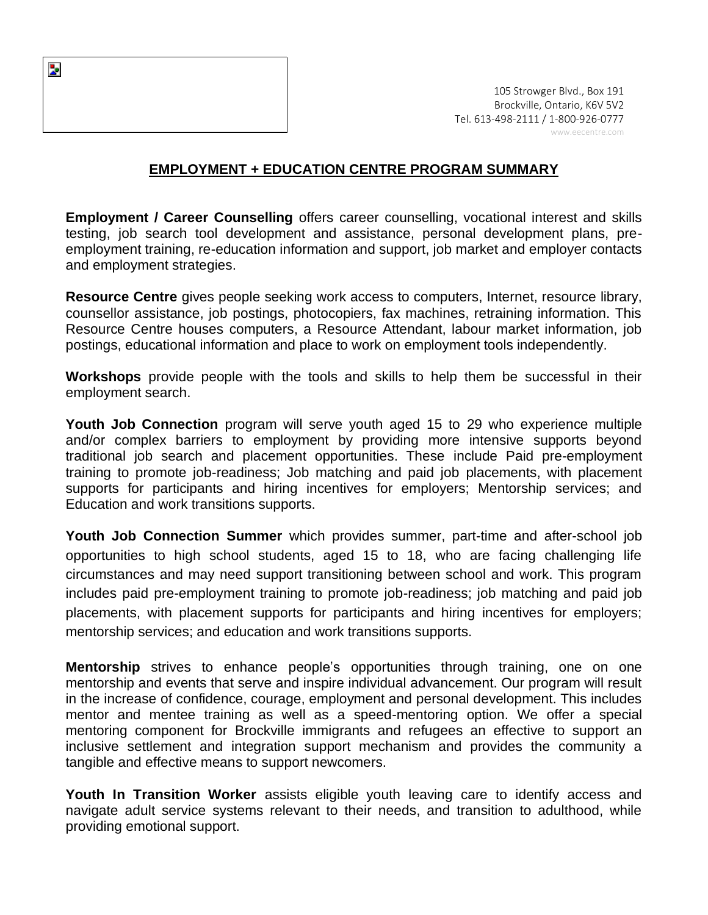

## **EMPLOYMENT + EDUCATION CENTRE PROGRAM SUMMARY**

**Employment / Career Counselling** offers career counselling, vocational interest and skills testing, job search tool development and assistance, personal development plans, preemployment training, re-education information and support, job market and employer contacts and employment strategies.

**Resource Centre** gives people seeking work access to computers, Internet, resource library, counsellor assistance, job postings, photocopiers, fax machines, retraining information. This Resource Centre houses computers, a Resource Attendant, labour market information, job postings, educational information and place to work on employment tools independently.

**Workshops** provide people with the tools and skills to help them be successful in their employment search.

**Youth Job Connection** program will serve youth aged 15 to 29 who experience multiple and/or complex barriers to employment by providing more intensive supports beyond traditional job search and placement opportunities. These include Paid pre-employment training to promote job-readiness; Job matching and paid job placements, with placement supports for participants and hiring incentives for employers; Mentorship services; and Education and work transitions supports.

**Youth Job Connection Summer** which provides summer, part-time and after-school job opportunities to high school students, aged 15 to 18, who are facing challenging life circumstances and may need support transitioning between school and work. This program includes paid pre-employment training to promote job-readiness; job matching and paid job placements, with placement supports for participants and hiring incentives for employers; mentorship services; and education and work transitions supports.

**Mentorship** strives to enhance people's opportunities through training, one on one mentorship and events that serve and inspire individual advancement. Our program will result in the increase of confidence, courage, employment and personal development. This includes mentor and mentee training as well as a speed-mentoring option. We offer a special mentoring component for Brockville immigrants and refugees an effective to support an inclusive settlement and integration support mechanism and provides the community a tangible and effective means to support newcomers.

**Youth In Transition Worker** assists eligible youth leaving care to identify access and navigate adult service systems relevant to their needs, and transition to adulthood, while providing emotional support.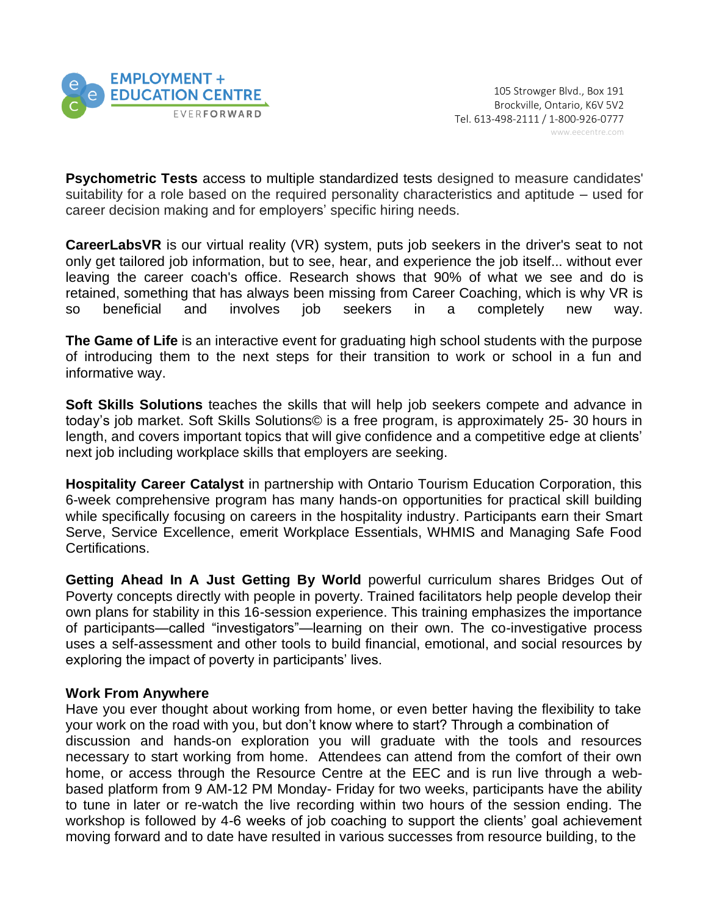

**Psychometric Tests** access to multiple standardized tests designed to measure candidates' suitability for a role based on the required personality characteristics and aptitude – used for career decision making and for employers' specific hiring needs.

**CareerLabsVR** is our virtual reality (VR) system, puts job seekers in the driver's seat to not only get tailored job information, but to see, hear, and experience the job itself... without ever leaving the career coach's office. Research shows that 90% of what we see and do is retained, something that has always been missing from Career Coaching, which is why VR is so beneficial and involves job seekers in a completely new way.

**The Game of Life** is an interactive event for graduating high school students with the purpose of introducing them to the next steps for their transition to work or school in a fun and informative way.

**Soft Skills Solutions** teaches the skills that will help job seekers compete and advance in today's job market. Soft Skills Solutions© is a free program, is approximately 25- 30 hours in length, and covers important topics that will give confidence and a competitive edge at clients' next job including workplace skills that employers are seeking.

**Hospitality Career Catalyst** in partnership with Ontario Tourism Education Corporation, this 6-week comprehensive program has many hands-on opportunities for practical skill building while specifically focusing on careers in the hospitality industry. Participants earn their Smart Serve, Service Excellence, emerit Workplace Essentials, WHMIS and Managing Safe Food Certifications.

**Getting Ahead In A Just Getting By World** powerful curriculum shares Bridges Out of Poverty concepts directly with people in poverty. Trained facilitators help people develop their own plans for stability in this 16-session experience. This training emphasizes the importance of participants—called "investigators"—learning on their own. The co-investigative process uses a self-assessment and other tools to build financial, emotional, and social resources by exploring the impact of poverty in participants' lives.

## **Work From Anywhere**

Have you ever thought about working from home, or even better having the flexibility to take your work on the road with you, but don't know where to start? Through a combination of discussion and hands-on exploration you will graduate with the tools and resources necessary to start working from home. Attendees can attend from the comfort of their own home, or access through the Resource Centre at the EEC and is run live through a webbased platform from 9 AM-12 PM Monday- Friday for two weeks, participants have the ability to tune in later or re-watch the live recording within two hours of the session ending. The workshop is followed by 4-6 weeks of job coaching to support the clients' goal achievement moving forward and to date have resulted in various successes from resource building, to the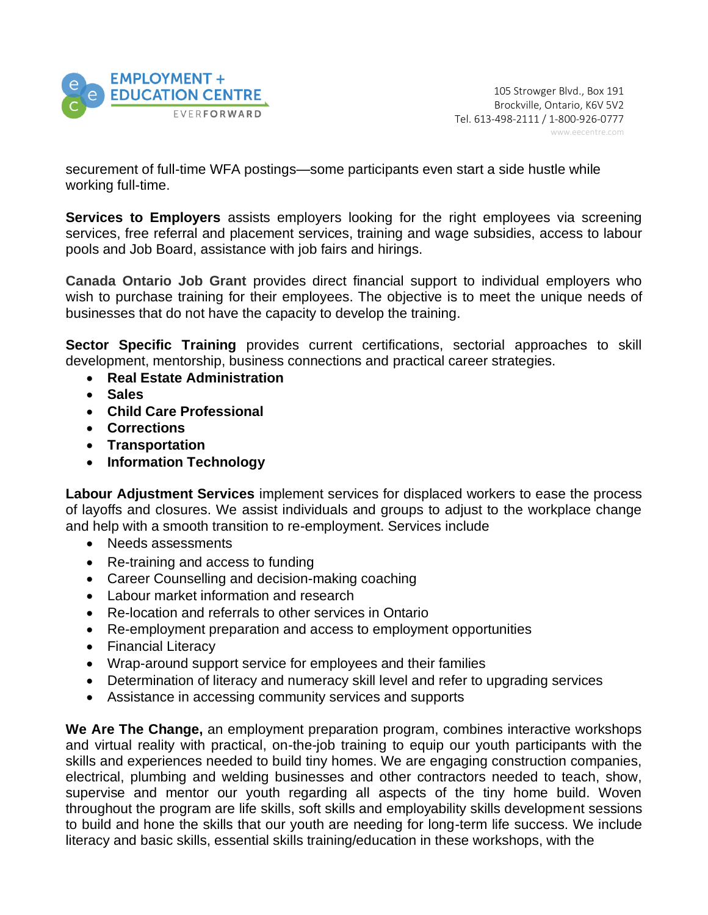

securement of full-time WFA postings—some participants even start a side hustle while working full-time.

**Services to Employers** assists employers looking for the right employees via screening services, free referral and placement services, training and wage subsidies, access to labour pools and Job Board, assistance with job fairs and hirings.

**Canada Ontario Job Grant** provides direct financial support to individual employers who wish to purchase training for their employees. The objective is to meet the unique needs of businesses that do not have the capacity to develop the training.

**Sector Specific Training** provides current certifications, sectorial approaches to skill development, mentorship, business connections and practical career strategies.

- **Real Estate Administration**
- **Sales**
- **Child Care Professional**
- **Corrections**
- **Transportation**
- **Information Technology**

**Labour Adjustment Services** implement services for displaced workers to ease the process of layoffs and closures. We assist individuals and groups to adjust to the workplace change and help with a smooth transition to re-employment. Services include

- Needs assessments
- Re-training and access to funding
- Career Counselling and decision-making coaching
- Labour market information and research
- Re-location and referrals to other services in Ontario
- Re-employment preparation and access to employment opportunities
- Financial Literacy
- Wrap-around support service for employees and their families
- Determination of literacy and numeracy skill level and refer to upgrading services
- Assistance in accessing community services and supports

**We Are The Change,** an employment preparation program, combines interactive workshops and virtual reality with practical, on-the-job training to equip our youth participants with the skills and experiences needed to build tiny homes. We are engaging construction companies, electrical, plumbing and welding businesses and other contractors needed to teach, show, supervise and mentor our youth regarding all aspects of the tiny home build. Woven throughout the program are life skills, soft skills and employability skills development sessions to build and hone the skills that our youth are needing for long-term life success. We include literacy and basic skills, essential skills training/education in these workshops, with the